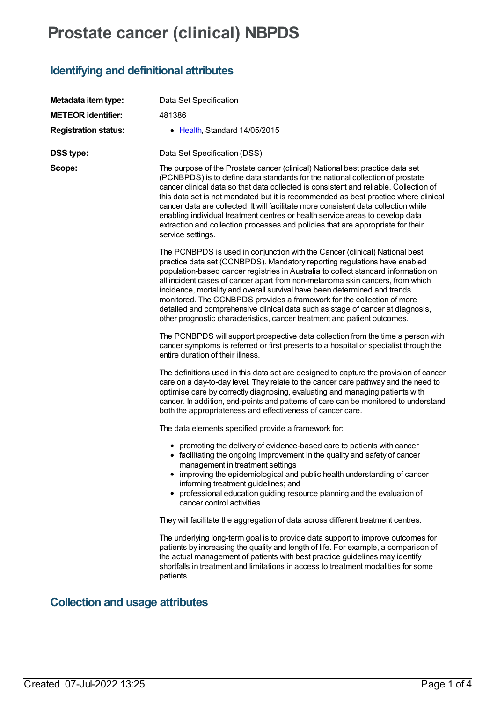# **Prostate cancer (clinical) NBPDS**

### **Identifying and definitional attributes**

| Metadata item type:         | Data Set Specification                                                                                                                                                                                                                                                                                                                                                                                                                                                                                                                                                                                                                               |
|-----------------------------|------------------------------------------------------------------------------------------------------------------------------------------------------------------------------------------------------------------------------------------------------------------------------------------------------------------------------------------------------------------------------------------------------------------------------------------------------------------------------------------------------------------------------------------------------------------------------------------------------------------------------------------------------|
| <b>METEOR identifier:</b>   | 481386                                                                                                                                                                                                                                                                                                                                                                                                                                                                                                                                                                                                                                               |
| <b>Registration status:</b> | • Health, Standard 14/05/2015                                                                                                                                                                                                                                                                                                                                                                                                                                                                                                                                                                                                                        |
| <b>DSS type:</b>            | Data Set Specification (DSS)                                                                                                                                                                                                                                                                                                                                                                                                                                                                                                                                                                                                                         |
| Scope:                      | The purpose of the Prostate cancer (clinical) National best practice data set<br>(PCNBPDS) is to define data standards for the national collection of prostate<br>cancer clinical data so that data collected is consistent and reliable. Collection of<br>this data set is not mandated but it is recommended as best practice where clinical<br>cancer data are collected. It will facilitate more consistent data collection while<br>enabling individual treatment centres or health service areas to develop data<br>extraction and collection processes and policies that are appropriate for their<br>service settings.                       |
|                             | The PCNBPDS is used in conjunction with the Cancer (clinical) National best<br>practice data set (CCNBPDS). Mandatory reporting regulations have enabled<br>population-based cancer registries in Australia to collect standard information on<br>all incident cases of cancer apart from non-melanoma skin cancers, from which<br>incidence, mortality and overall survival have been determined and trends<br>monitored. The CCNBPDS provides a framework for the collection of more<br>detailed and comprehensive clinical data such as stage of cancer at diagnosis,<br>other prognostic characteristics, cancer treatment and patient outcomes. |
|                             | The PCNBPDS will support prospective data collection from the time a person with<br>cancer symptoms is referred or first presents to a hospital or specialist through the<br>entire duration of their illness.                                                                                                                                                                                                                                                                                                                                                                                                                                       |
|                             | The definitions used in this data set are designed to capture the provision of cancer<br>care on a day-to-day level. They relate to the cancer care pathway and the need to<br>optimise care by correctly diagnosing, evaluating and managing patients with<br>cancer. In addition, end-points and patterns of care can be monitored to understand<br>both the appropriateness and effectiveness of cancer care.                                                                                                                                                                                                                                     |
|                             | The data elements specified provide a framework for:                                                                                                                                                                                                                                                                                                                                                                                                                                                                                                                                                                                                 |
|                             | • promoting the delivery of evidence-based care to patients with cancer<br>• facilitating the ongoing improvement in the quality and safety of cancer<br>management in treatment settings<br>• improving the epidemiological and public health understanding of cancer<br>informing treatment guidelines; and<br>professional education guiding resource planning and the evaluation of<br>cancer control activities.                                                                                                                                                                                                                                |
|                             | They will facilitate the aggregation of data across different treatment centres.                                                                                                                                                                                                                                                                                                                                                                                                                                                                                                                                                                     |
|                             | The underlying long-term goal is to provide data support to improve outcomes for<br>patients by increasing the quality and length of life. For example, a comparison of<br>the actual management of patients with best practice guidelines may identify<br>shortfalls in treatment and limitations in access to treatment modalities for some<br>patients.                                                                                                                                                                                                                                                                                           |

## **Collection and usage attributes**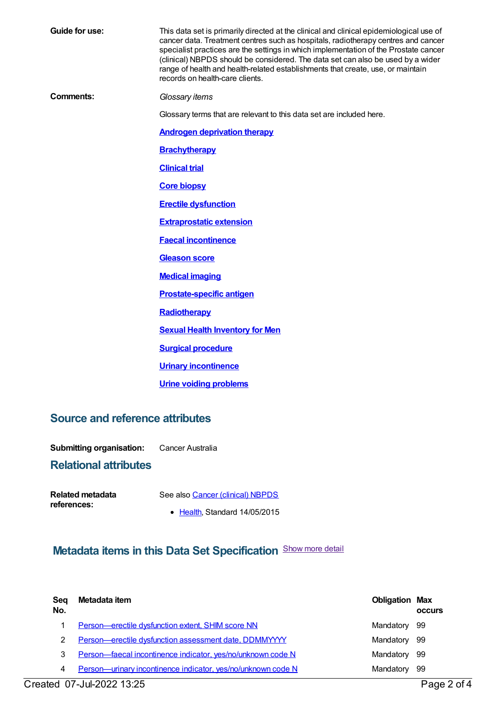**Guide for use:** This data set is primarily directed at the clinical and clinical epidemiological use of cancer data. Treatment centres such as hospitals, radiotherapy centres and cancer specialist practices are the settings in which implementation of the Prostate cancer (clinical) NBPDS should be considered. The data set can also be used by a wider range of health and health-related establishments that create, use, or maintain records on health-care clients. **Comments:** *Glossary items* Glossary terms that are relevant to this data set are included here. **Androgen [deprivation](https://meteor.aihw.gov.au/content/587572) therapy [Brachytherapy](https://meteor.aihw.gov.au/content/594080) [Clinical](https://meteor.aihw.gov.au/content/522854) trial Core [biopsy](https://meteor.aihw.gov.au/content/598214) Erectile [dysfunction](https://meteor.aihw.gov.au/content/587675) [Extraprostatic](https://meteor.aihw.gov.au/content/587658) extension Faecal [incontinence](https://meteor.aihw.gov.au/content/587616) [Gleason](https://meteor.aihw.gov.au/content/598061) score Medical [imaging](https://meteor.aihw.gov.au/content/525782) [Prostate-specific](https://meteor.aihw.gov.au/content/598091) antigen [Radiotherapy](https://meteor.aihw.gov.au/content/437265) Sexual Health [Inventory](https://meteor.aihw.gov.au/content/598116) for Men Surgical [procedure](https://meteor.aihw.gov.au/content/439584) Urinary [incontinence](https://meteor.aihw.gov.au/content/587641) Urine voiding [problems](https://meteor.aihw.gov.au/content/587753)**

#### **Source and reference attributes**

**Submitting organisation:** Cancer Australia

### **Relational attributes**

| Related metadata | See also Cancer (clinical) NBPDS      |
|------------------|---------------------------------------|
| references:      |                                       |
|                  | $\bullet$ Health, Standard 14/05/2015 |

### **Metadata items in this Data Set Specification** Show more detail

| Sea<br>No. | Metadata item                                                | <b>Obligation Max</b> | <b>OCCULS</b> |
|------------|--------------------------------------------------------------|-----------------------|---------------|
|            | Person-erectile dysfunction extent, SHIM score NN            | Mandatory             | - 99          |
|            | Person-erectile dysfunction assessment date, DDMMYYYY        | Mandatory 99          |               |
| 3          | Person-faecal incontinence indicator, yes/no/unknown code N  | Mandatory             | - 99          |
| 4          | Person-urinary incontinence indicator, yes/no/unknown code N | Mandatory             | -99           |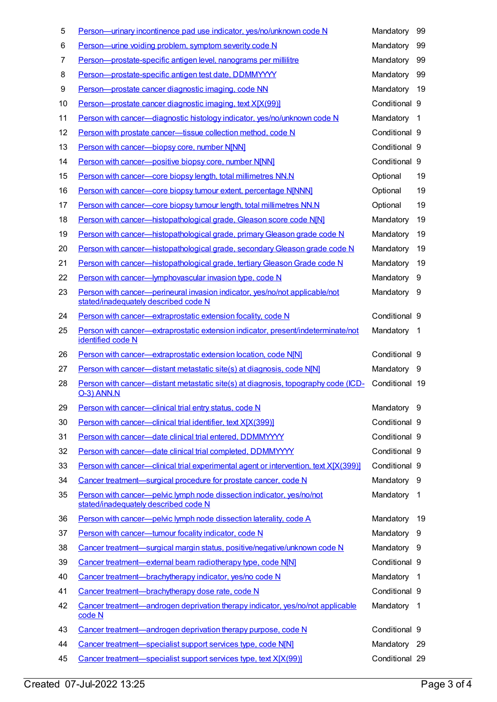| 5  | Person—urinary incontinence pad use indicator, yes/no/unknown code N                                                | Mandatory      | 99             |
|----|---------------------------------------------------------------------------------------------------------------------|----------------|----------------|
| 6  | Person-urine voiding problem, symptom severity code N                                                               | Mandatory      | 99             |
| 7  | Person-prostate-specific antigen level, nanograms per millilitre                                                    | Mandatory      | 99             |
| 8  | Person-prostate-specific antigen test date, DDMMYYYY                                                                | Mandatory      | 99             |
| 9  | Person-prostate cancer diagnostic imaging, code NN                                                                  | Mandatory      | 19             |
| 10 | Person-prostate cancer diagnostic imaging, text X[X(99)]                                                            | Conditional 9  |                |
| 11 | Person with cancer-diagnostic histology indicator, yes/no/unknown code N                                            | Mandatory      | -1             |
| 12 | Person with prostate cancer-tissue collection method, code N                                                        | Conditional 9  |                |
| 13 | Person with cancer-biopsy core, number N[NN]                                                                        | Conditional 9  |                |
| 14 | Person with cancer-positive biopsy core, number N[NN]                                                               | Conditional 9  |                |
| 15 | Person with cancer-core biopsy length, total millimetres NN.N                                                       | Optional       | 19             |
| 16 | Person with cancer-core biopsy tumour extent, percentage NJNNN]                                                     | Optional       | 19             |
| 17 | Person with cancer-core biopsy tumour length, total millimetres NN.N                                                | Optional       | 19             |
| 18 | Person with cancer-histopathological grade, Gleason score code N[N]                                                 | Mandatory      | 19             |
| 19 | Person with cancer—histopathological grade, primary Gleason grade code N                                            | Mandatory      | 19             |
| 20 | Person with cancer—histopathological grade, secondary Gleason grade code N                                          | Mandatory      | 19             |
| 21 | Person with cancer-histopathological grade, tertiary Gleason Grade code N                                           | Mandatory      | 19             |
| 22 | Person with cancer—lymphovascular invasion type, code N                                                             | Mandatory      | 9              |
| 23 | Person with cancer-perineural invasion indicator, yes/no/not applicable/not<br>stated/inadequately described code N | Mandatory      | 9              |
| 24 | Person with cancer-extraprostatic extension focality, code N                                                        | Conditional 9  |                |
| 25 | Person with cancer—extraprostatic extension indicator, present/indeterminate/not<br>identified code N               | Mandatory      | -1             |
| 26 | Person with cancer-extraprostatic extension location, code N[N]                                                     | Conditional 9  |                |
| 27 | Person with cancer-distant metastatic site(s) at diagnosis, code N[N]                                               | Mandatory 9    |                |
| 28 | Person with cancer—distant metastatic site(s) at diagnosis, topography code (ICD-<br><b>O-3) ANN.N</b>              | Conditional 19 |                |
| 29 | Person with cancer-clinical trial entry status, code N                                                              | Mandatory 9    |                |
| 30 | Person with cancer-clinical trial identifier, text X[X(399)]                                                        | Conditional 9  |                |
| 31 | Person with cancer-date clinical trial entered, DDMMYYYY                                                            | Conditional 9  |                |
| 32 | Person with cancer-date clinical trial completed, DDMMYYYY                                                          | Conditional 9  |                |
| 33 | Person with cancer—clinical trial experimental agent or intervention, text X[X(399)]                                | Conditional 9  |                |
| 34 | Cancer treatment—surgical procedure for prostate cancer, code N                                                     | Mandatory 9    |                |
| 35 | Person with cancer-pelvic lymph node dissection indicator, yes/no/not<br>stated/inadequately described code N       | Mandatory      | $\overline{1}$ |
| 36 | Person with cancer-pelvic lymph node dissection laterality, code A                                                  | Mandatory      | 19             |
| 37 | Person with cancer-tumour focality indicator, code N                                                                | Mandatory      | - 9            |
| 38 | Cancer treatment—surgical margin status, positive/negative/unknown code N                                           | Mandatory 9    |                |
| 39 | Cancer treatment-external beam radiotherapy type, code N[N]                                                         | Conditional 9  |                |
| 40 | Cancer treatment-brachytherapy indicator, yes/no code N                                                             | Mandatory 1    |                |
| 41 | Cancer treatment-brachytherapy dose rate, code N                                                                    | Conditional 9  |                |
| 42 | Cancer treatment—androgen deprivation therapy indicator, yes/no/not applicable<br>code N                            | Mandatory 1    |                |
| 43 |                                                                                                                     |                |                |
|    | Cancer treatment—androgen deprivation therapy purpose, code N                                                       | Conditional 9  |                |
| 44 | Cancer treatment-specialist support services type, code N[N]                                                        | Mandatory      | -29            |